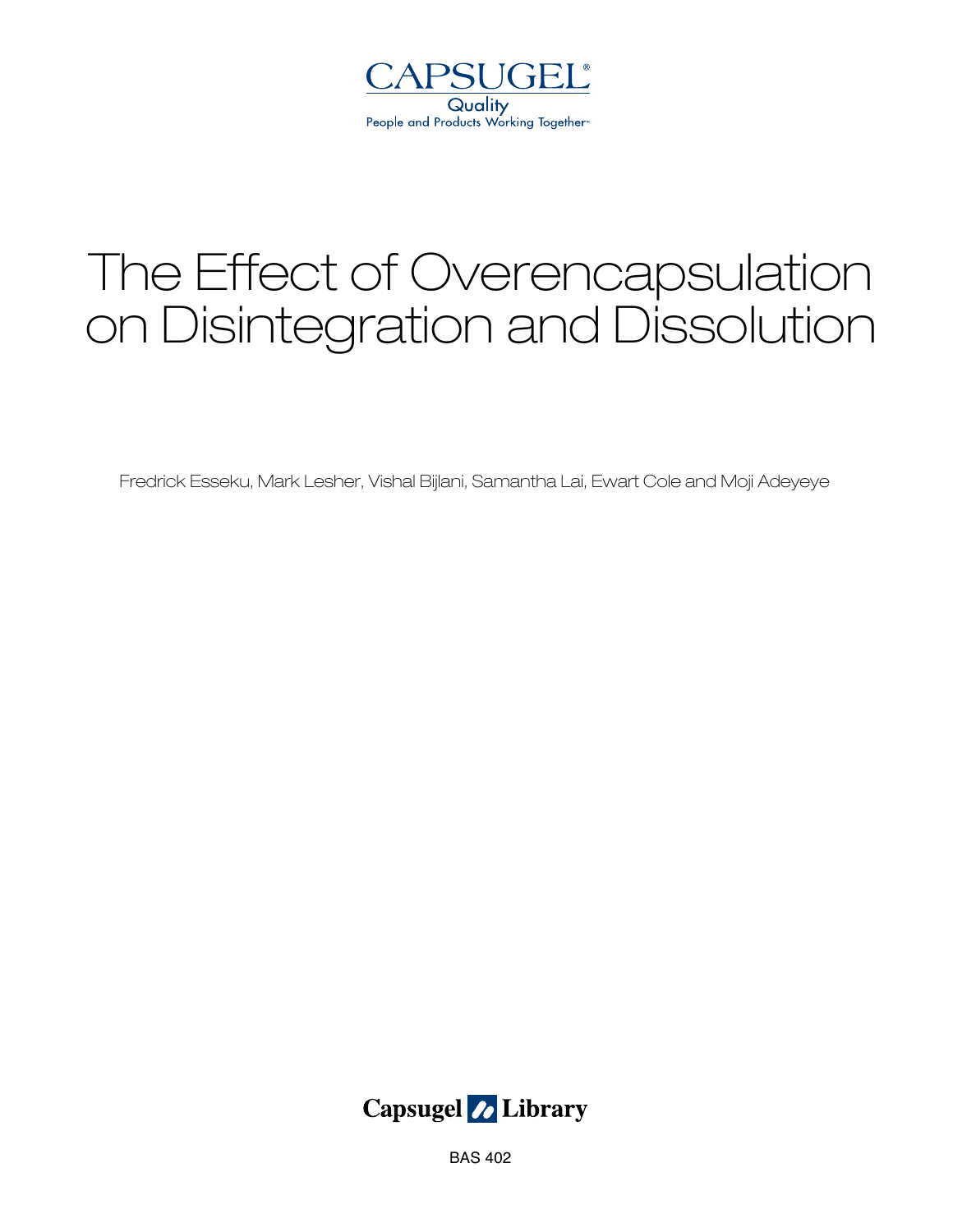

# The Effect of Overencapsulation on Disintegration and Dissolution

Fredrick Esseku, Mark Lesher, Vishal Bijlani, Samantha Lai, Ewart Cole and Moji Adeyeye



BAS 402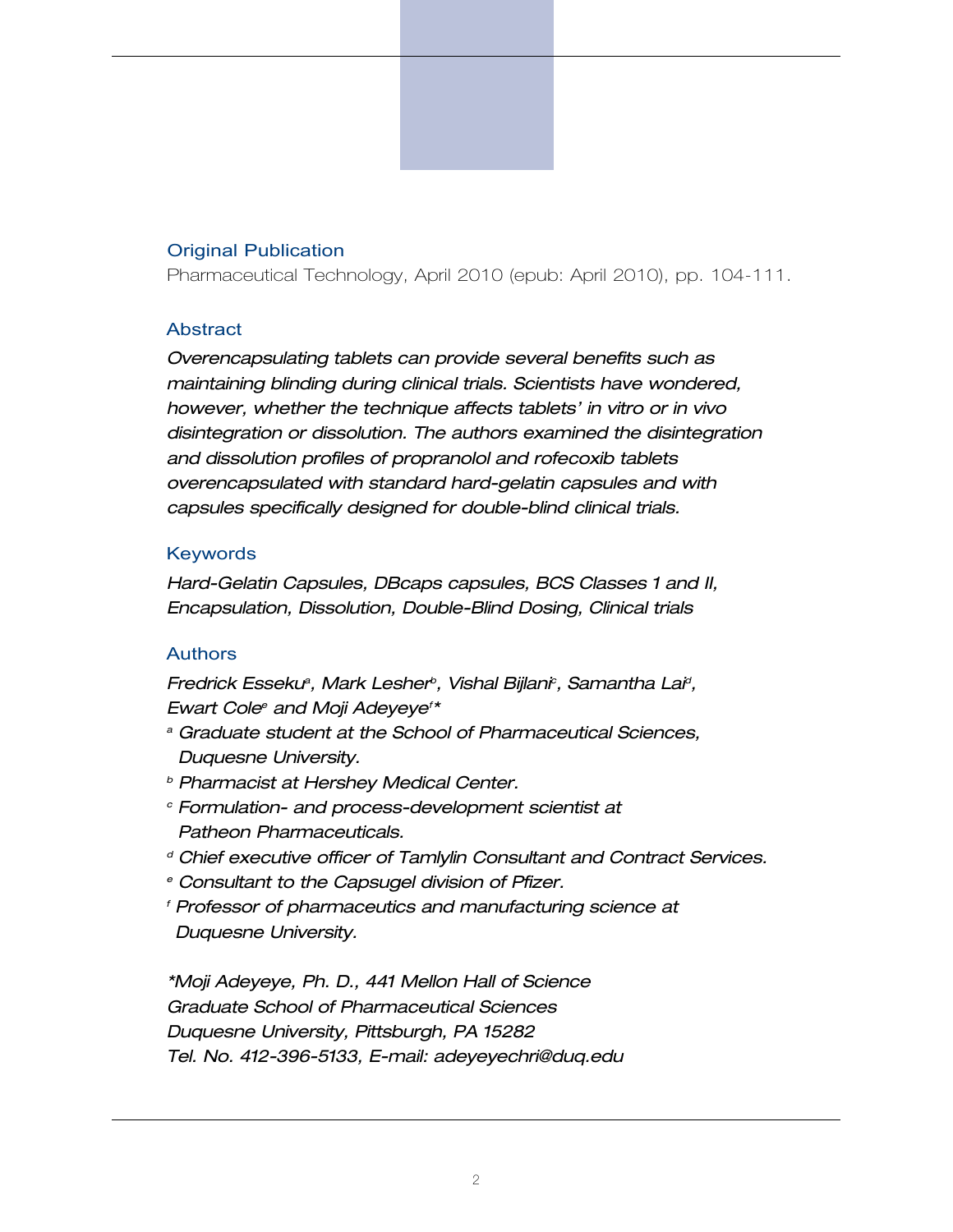# Original Publication

Pharmaceutical Technology, April 2010 (epub: April 2010), pp. 104-111.

# **Abstract**

*Overencapsulating tablets can provide several benefits such as maintaining blinding during clinical trials. Scientists have wondered, however, whether the technique affects tablets' in vitro or in vivo disintegration or dissolution. The authors examined the disintegration and dissolution profiles of propranolol and rofecoxib tablets overencapsulated with standard hard-gelatin capsules and with capsules specifically designed for double-blind clinical trials.* 

# Keywords

*Hard-Gelatin Capsules, DBcaps capsules, BCS Classes 1 and II, Encapsulation, Dissolution, Double-Blind Dosing, Clinical trials*

# **Authors**

*Fredrick Essekua, Mark Lesherb, Vishal Bijlanic , Samantha Laid, Ewart Colee and Moji Adeyeyef \**

- *<sup>a</sup> Graduate student at the School of Pharmaceutical Sciences, Duquesne University.*
- *<sup>b</sup> Pharmacist at Hershey Medical Center.*
- *<sup>c</sup> Formulation- and process-development scientist at Patheon Pharmaceuticals.*
- *<sup>d</sup> Chief executive officer of Tamlylin Consultant and Contract Services.*
- *e Consultant to the Capsugel division of Pfizer.*
- *<sup>f</sup> Professor of pharmaceutics and manufacturing science at Duquesne University.*

*\*Moji Adeyeye, Ph. D., 441 Mellon Hall of Science Graduate School of Pharmaceutical Sciences Duquesne University, Pittsburgh, PA 15282 Tel. No. 412-396-5133, E-mail: adeyeyechri@duq.edu*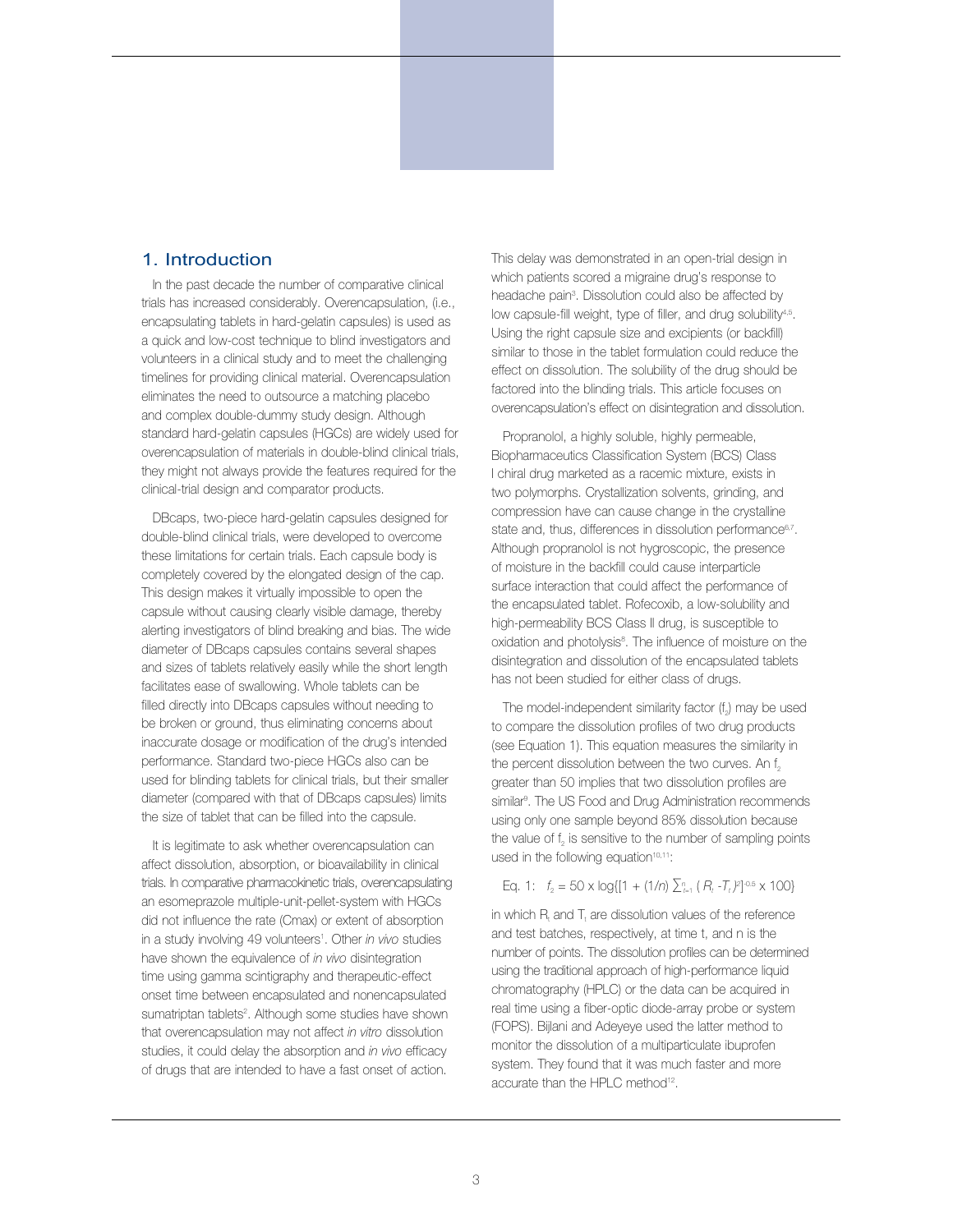# 1. Introduction

In the past decade the number of comparative clinical trials has increased considerably. Overencapsulation, (i.e., encapsulating tablets in hard-gelatin capsules) is used as a quick and low-cost technique to blind investigators and volunteers in a clinical study and to meet the challenging timelines for providing clinical material. Overencapsulation eliminates the need to outsource a matching placebo and complex double-dummy study design. Although standard hard-gelatin capsules (HGCs) are widely used for overencapsulation of materials in double-blind clinical trials, they might not always provide the features required for the clinical-trial design and comparator products.

DBcaps, two-piece hard-gelatin capsules designed for double-blind clinical trials, were developed to overcome these limitations for certain trials. Each capsule body is completely covered by the elongated design of the cap. This design makes it virtually impossible to open the capsule without causing clearly visible damage, thereby alerting investigators of blind breaking and bias. The wide diameter of DBcaps capsules contains several shapes and sizes of tablets relatively easily while the short length facilitates ease of swallowing. Whole tablets can be filled directly into DBcaps capsules without needing to be broken or ground, thus eliminating concerns about inaccurate dosage or modification of the drug's intended performance. Standard two-piece HGCs also can be used for blinding tablets for clinical trials, but their smaller diameter (compared with that of DBcaps capsules) limits the size of tablet that can be filled into the capsule.

It is legitimate to ask whether overencapsulation can affect dissolution, absorption, or bioavailability in clinical trials. In comparative pharmacokinetic trials, overencapsulating an esomeprazole multiple-unit-pellet-system with HGCs did not influence the rate (Cmax) or extent of absorption in a study involving 49 volunteers<sup>1</sup>. Other in vivo studies have shown the equivalence of *in vivo* disintegration time using gamma scintigraphy and therapeutic-effect onset time between encapsulated and nonencapsulated sumatriptan tablets<sup>2</sup>. Although some studies have shown that overencapsulation may not affect *in vitro* dissolution studies, it could delay the absorption and *in vivo* efficacy of drugs that are intended to have a fast onset of action.

This delay was demonstrated in an open-trial design in which patients scored a migraine drug's response to headache pain3 . Dissolution could also be affected by low capsule-fill weight, type of filler, and drug solubility<sup>4,5</sup>. Using the right capsule size and excipients (or backfill) similar to those in the tablet formulation could reduce the effect on dissolution. The solubility of the drug should be factored into the blinding trials. This article focuses on overencapsulation's effect on disintegration and dissolution.

Propranolol, a highly soluble, highly permeable, Biopharmaceutics Classification System (BCS) Class I chiral drug marketed as a racemic mixture, exists in two polymorphs. Crystallization solvents, grinding, and compression have can cause change in the crystalline state and, thus, differences in dissolution performance<sup>6,7</sup>. Although propranolol is not hygroscopic, the presence of moisture in the backfill could cause interparticle surface interaction that could affect the performance of the encapsulated tablet. Rofecoxib, a low-solubility and high-permeability BCS Class II drug, is susceptible to oxidation and photolysis<sup>8</sup>. The influence of moisture on the disintegration and dissolution of the encapsulated tablets has not been studied for either class of drugs.

The model-independent similarity factor  $(f<sub>2</sub>)$  may be used to compare the dissolution profiles of two drug products (see Equation 1). This equation measures the similarity in the percent dissolution between the two curves. An f<sub>2</sub> greater than 50 implies that two dissolution profiles are similar<sup>9</sup>. The US Food and Drug Administration recommends using only one sample beyond 85% dissolution because the value of f<sub>2</sub> is sensitive to the number of sampling points used in the following equation<sup>10,11</sup>:

Eq. 1:  $f_2 = 50 \times \log\{[1 + (1/n) \sum_{t=1}^n (R_t - T_t)^2]^{0.5} \times 100\}$ 

in which  $R_t$  and  $T_t$  are dissolution values of the reference and test batches, respectively, at time t, and n is the number of points. The dissolution profiles can be determined using the traditional approach of high-performance liquid chromatography (HPLC) or the data can be acquired in real time using a fiber-optic diode-array probe or system (FOPS). Bijlani and Adeyeye used the latter method to monitor the dissolution of a multiparticulate ibuprofen system. They found that it was much faster and more accurate than the HPLC method12.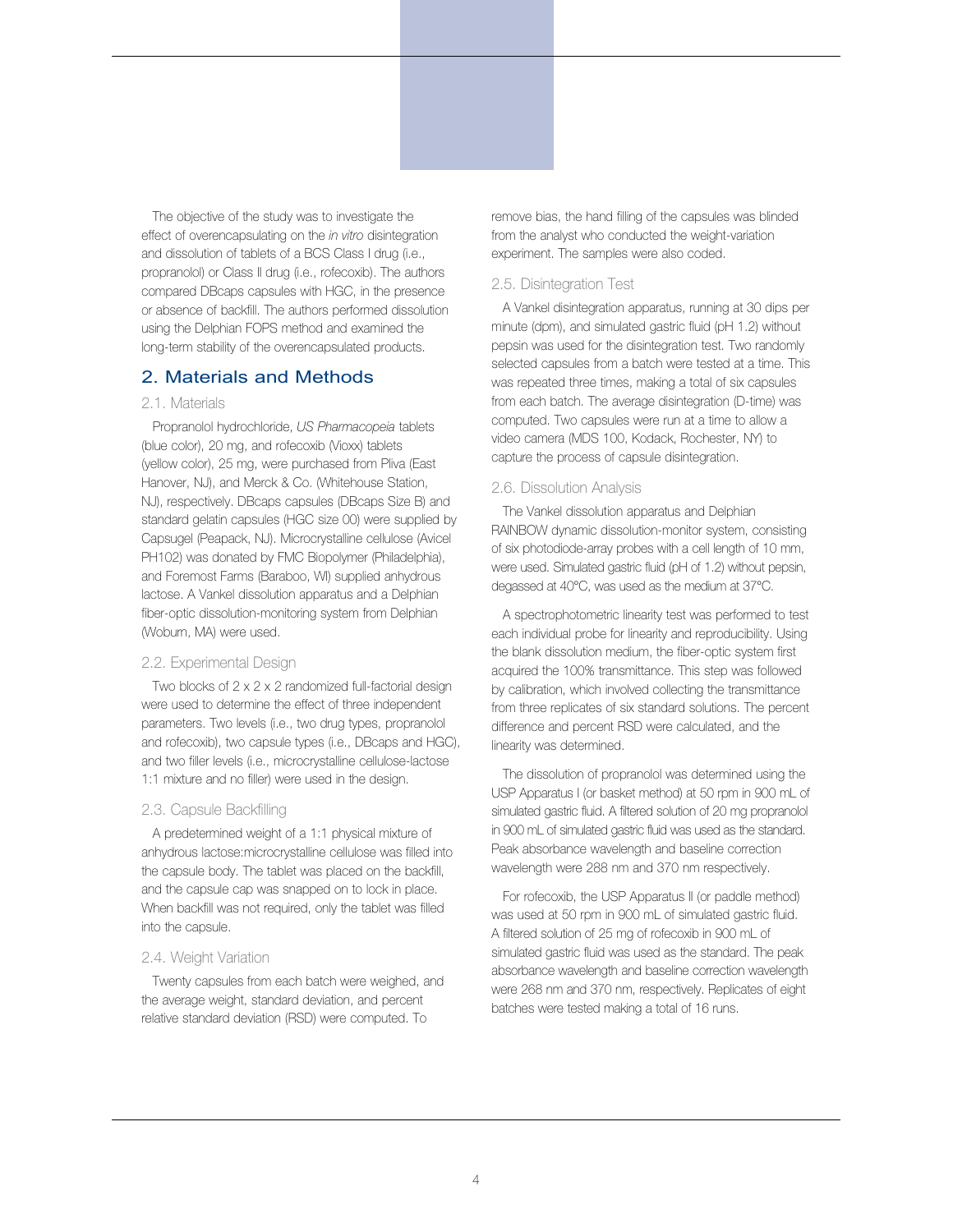The objective of the study was to investigate the effect of overencapsulating on the *in vitro* disintegration and dissolution of tablets of a BCS Class I drug (i.e., propranolol) or Class II drug (i.e., rofecoxib). The authors compared DBcaps capsules with HGC, in the presence or absence of backfill. The authors performed dissolution using the Delphian FOPS method and examined the long-term stability of the overencapsulated products.

# 2. Materials and Methods

## 2.1. Materials

Propranolol hydrochloride, *US Pharmacopeia* tablets (blue color), 20 mg, and rofecoxib (Vioxx) tablets (yellow color), 25 mg, were purchased from Pliva (East Hanover, NJ), and Merck & Co. (Whitehouse Station, NJ), respectively. DBcaps capsules (DBcaps Size B) and standard gelatin capsules (HGC size 00) were supplied by Capsugel (Peapack, NJ). Microcrystalline cellulose (Avicel PH102) was donated by FMC Biopolymer (Philadelphia), and Foremost Farms (Baraboo, WI) supplied anhydrous lactose. A Vankel dissolution apparatus and a Delphian fiber-optic dissolution-monitoring system from Delphian (Woburn, MA) were used.

## 2.2. Experimental Design

Two blocks of 2 x 2 x 2 randomized full-factorial design were used to determine the effect of three independent parameters. Two levels (i.e., two drug types, propranolol and rofecoxib), two capsule types (i.e., DBcaps and HGC), and two filler levels (i.e., microcrystalline cellulose-lactose 1:1 mixture and no filler) were used in the design.

#### 2.3. Capsule Backfilling

A predetermined weight of a 1:1 physical mixture of anhydrous lactose:microcrystalline cellulose was filled into the capsule body. The tablet was placed on the backfill, and the capsule cap was snapped on to lock in place. When backfill was not required, only the tablet was filled into the capsule.

## 2.4. Weight Variation

Twenty capsules from each batch were weighed, and the average weight, standard deviation, and percent relative standard deviation (RSD) were computed. To

remove bias, the hand filling of the capsules was blinded from the analyst who conducted the weight-variation experiment. The samples were also coded.

## 2.5. Disintegration Test

A Vankel disintegration apparatus, running at 30 dips per minute (dpm), and simulated gastric fluid (pH 1.2) without pepsin was used for the disintegration test. Two randomly selected capsules from a batch were tested at a time. This was repeated three times, making a total of six capsules from each batch. The average disintegration (D-time) was computed. Two capsules were run at a time to allow a video camera (MDS 100, Kodack, Rochester, NY) to capture the process of capsule disintegration.

#### 2.6. Dissolution Analysis

The Vankel dissolution apparatus and Delphian RAINBOW dynamic dissolution-monitor system, consisting of six photodiode-array probes with a cell length of 10 mm, were used. Simulated gastric fluid (pH of 1.2) without pepsin, degassed at 40°C, was used as the medium at 37°C.

A spectrophotometric linearity test was performed to test each individual probe for linearity and reproducibility. Using the blank dissolution medium, the fiber-optic system first acquired the 100% transmittance. This step was followed by calibration, which involved collecting the transmittance from three replicates of six standard solutions. The percent difference and percent RSD were calculated, and the linearity was determined.

The dissolution of propranolol was determined using the USP Apparatus I (or basket method) at 50 rpm in 900 mL of simulated gastric fluid. A filtered solution of 20 mg propranolol in 900 mL of simulated gastric fluid was used as the standard. Peak absorbance wavelength and baseline correction wavelength were 288 nm and 370 nm respectively.

For rofecoxib, the USP Apparatus II (or paddle method) was used at 50 rpm in 900 mL of simulated gastric fluid. A filtered solution of 25 mg of rofecoxib in 900 mL of simulated gastric fluid was used as the standard. The peak absorbance wavelength and baseline correction wavelength were 268 nm and 370 nm, respectively. Replicates of eight batches were tested making a total of 16 runs.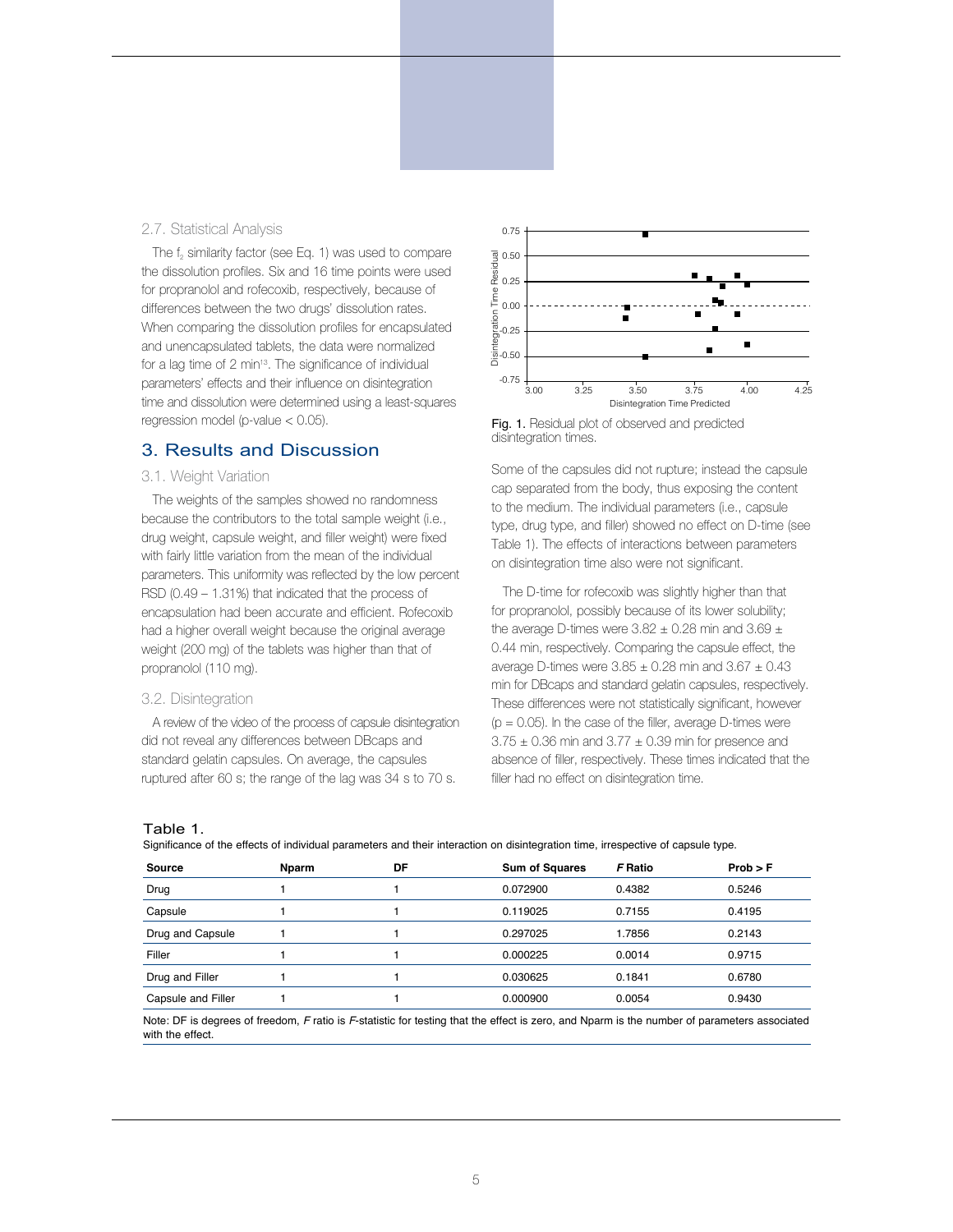## 2.7. Statistical Analysis

The  $f<sub>2</sub>$  similarity factor (see Eq. 1) was used to compare the dissolution profiles. Six and 16 time points were used for propranolol and rofecoxib, respectively, because of differences between the two drugs' dissolution rates. When comparing the dissolution profiles for encapsulated and unencapsulated tablets, the data were normalized for a lag time of 2 min<sup>13</sup>. The significance of individual parameters' effects and their influence on disintegration time and dissolution were determined using a least-squares regression model (p-value < 0.05).

## 3. Results and Discussion

#### 3.1. Weight Variation

The weights of the samples showed no randomness because the contributors to the total sample weight (i.e., drug weight, capsule weight, and filler weight) were fixed with fairly little variation from the mean of the individual parameters. This uniformity was reflected by the low percent RSD (0.49 – 1.31%) that indicated that the process of encapsulation had been accurate and efficient. Rofecoxib had a higher overall weight because the original average weight (200 mg) of the tablets was higher than that of propranolol (110 mg).

#### 3.2. Disintegration

A review of the video of the process of capsule disintegration did not reveal any differences between DBcaps and standard gelatin capsules. On average, the capsules ruptured after 60 s; the range of the lag was 34 s to 70 s.



Fig. 1. Residual plot of observed and predicted disintegration times.

Some of the capsules did not rupture; instead the capsule cap separated from the body, thus exposing the content to the medium. The individual parameters (i.e., capsule type, drug type, and filler) showed no effect on D-time (see Table 1). The effects of interactions between parameters on disintegration time also were not significant.

The D-time for rofecoxib was slightly higher than that for propranolol, possibly because of its lower solubility; the average D-times were  $3.82 + 0.28$  min and  $3.69 +$ 0.44 min, respectively. Comparing the capsule effect, the average D-times were  $3.85 \pm 0.28$  min and  $3.67 \pm 0.43$ min for DBcaps and standard gelatin capsules, respectively. These differences were not statistically significant, however  $(p = 0.05)$ . In the case of the filler, average D-times were  $3.75 \pm 0.36$  min and  $3.77 \pm 0.39$  min for presence and absence of filler, respectively. These times indicated that the filler had no effect on disintegration time.

| ⊺able<br>ı |  |
|------------|--|
|------------|--|

Significance of the effects of individual parameters and their interaction on disintegration time, irrespective of capsule type.

| Source             | Nparm | DF | <b>Sum of Squares</b> | <b>F</b> Ratio | Prob > F |
|--------------------|-------|----|-----------------------|----------------|----------|
| Drug               |       |    | 0.072900              | 0.4382         | 0.5246   |
| Capsule            |       |    | 0.119025              | 0.7155         | 0.4195   |
| Drug and Capsule   |       |    | 0.297025              | 1.7856         | 0.2143   |
| Filler             |       |    | 0.000225              | 0.0014         | 0.9715   |
| Drug and Filler    |       |    | 0.030625              | 0.1841         | 0.6780   |
| Capsule and Filler |       |    | 0.000900              | 0.0054         | 0.9430   |
|                    |       |    |                       |                |          |

Note: DF is degrees of freedom, F ratio is F-statistic for testing that the effect is zero, and Nparm is the number of parameters associated with the effect.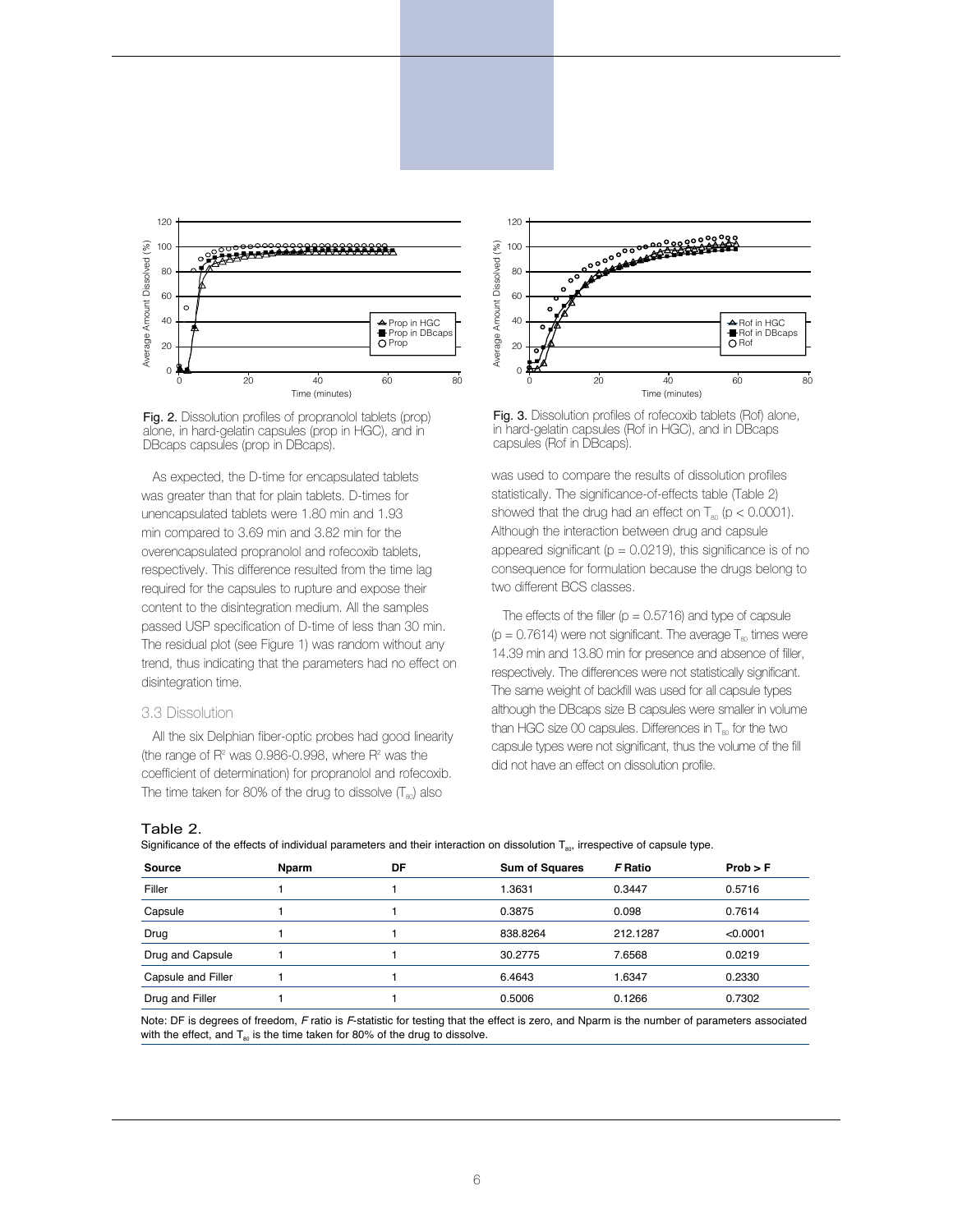

Fig. 2. Dissolution profiles of propranolol tablets (prop) alone, in hard-gelatin capsules (prop in HGC), and in DBcaps capsules (prop in DBcaps).

As expected, the D-time for encapsulated tablets was greater than that for plain tablets. D-times for unencapsulated tablets were 1.80 min and 1.93 min compared to 3.69 min and 3.82 min for the overencapsulated propranolol and rofecoxib tablets, respectively. This difference resulted from the time lag required for the capsules to rupture and expose their content to the disintegration medium. All the samples passed USP specification of D-time of less than 30 min. The residual plot (see Figure 1) was random without any trend, thus indicating that the parameters had no effect on disintegration time.

## 3.3 Dissolution

All the six Delphian fiber-optic probes had good linearity (the range of  $R<sup>2</sup>$  was 0.986-0.998, where  $R<sup>2</sup>$  was the coefficient of determination) for propranolol and rofecoxib. The time taken for 80% of the drug to dissolve  $(T_{\rm so})$  also



Fig. 3. Dissolution profiles of rofecoxib tablets (Rof) alone, in hard-gelatin capsules (Rof in HGC), and in DBcaps capsules (Rof in DBcaps).

was used to compare the results of dissolution profiles statistically. The significance-of-effects table (Table 2) showed that the drug had an effect on  $T_{80}$  (p < 0.0001). Although the interaction between drug and capsule appeared significant ( $p = 0.0219$ ), this significance is of no consequence for formulation because the drugs belong to two different BCS classes.

The effects of the filler  $(p = 0.5716)$  and type of capsule ( $p = 0.7614$ ) were not significant. The average  $T_{\text{sp}}$  times were 14.39 min and 13.80 min for presence and absence of filler, respectively. The differences were not statistically significant. The same weight of backfill was used for all capsule types although the DBcaps size B capsules were smaller in volume than HGC size 00 capsules. Differences in  $T_{80}$  for the two capsule types were not significant, thus the volume of the fill did not have an effect on dissolution profile.

| able |  |  |
|------|--|--|
|------|--|--|

Significance of the effects of individual parameters and their interaction on dissolution  $T_{80}$ , irrespective of capsule type.

| Source             | Nparm | DF | <b>Sum of Squares</b> | F Ratio  | Prob > F |
|--------------------|-------|----|-----------------------|----------|----------|
| Filler             |       |    | 1.3631                | 0.3447   | 0.5716   |
| Capsule            |       |    | 0.3875                | 0.098    | 0.7614   |
| Drug               |       |    | 838.8264              | 212.1287 | < 0.0001 |
| Drug and Capsule   |       |    | 30.2775               | 7.6568   | 0.0219   |
| Capsule and Filler |       |    | 6.4643                | 1.6347   | 0.2330   |
| Drug and Filler    |       |    | 0.5006                | 0.1266   | 0.7302   |

Note: DF is degrees of freedom, F ratio is F-statistic for testing that the effect is zero, and Nparm is the number of parameters associated with the effect, and  $T_{80}$  is the time taken for 80% of the drug to dissolve.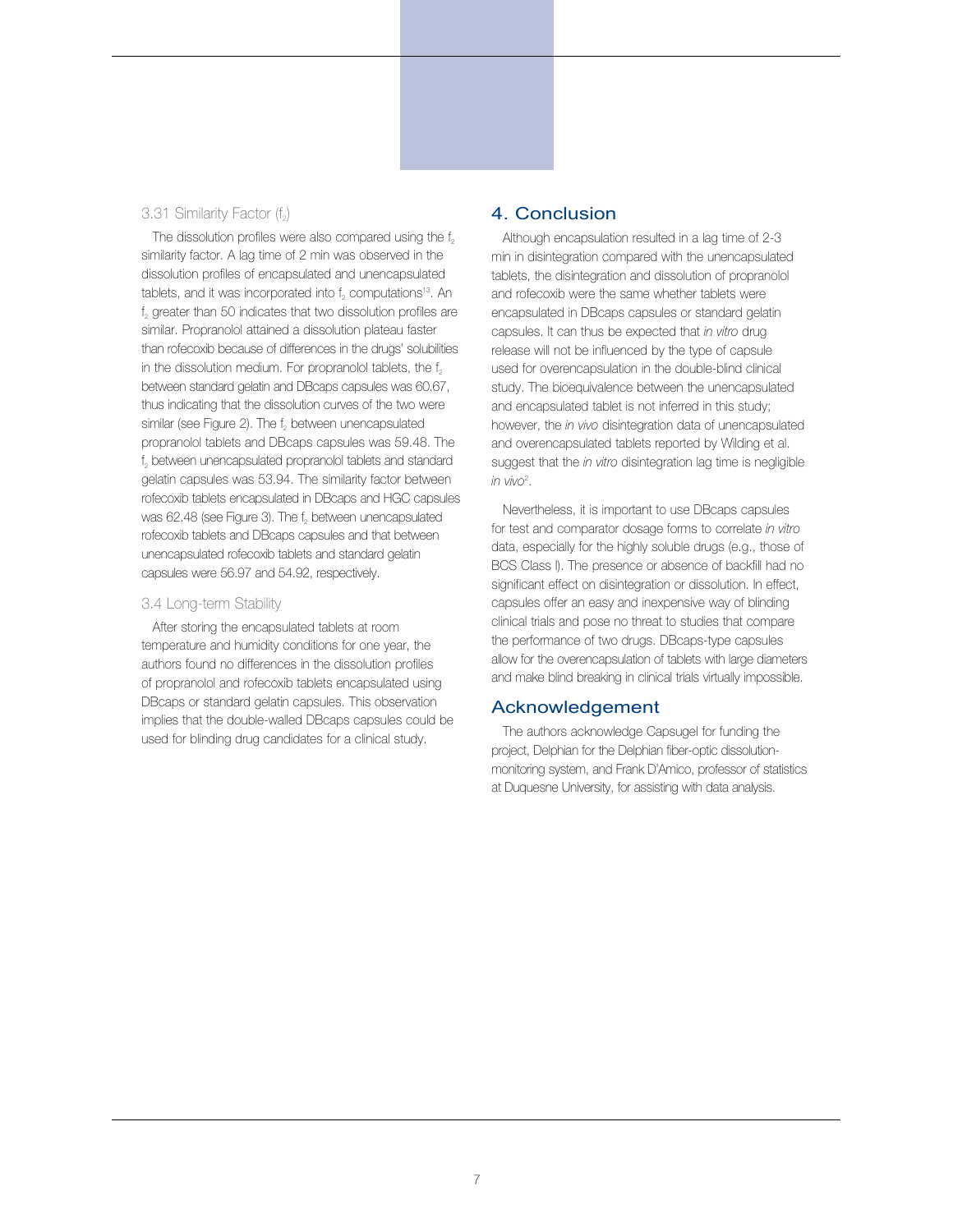## 3.31 Similarity Factor (f<sub>2</sub>)

The dissolution profiles were also compared using the f<sub>2</sub> similarity factor. A lag time of 2 min was observed in the dissolution profiles of encapsulated and unencapsulated tablets, and it was incorporated into f<sub>2</sub> computations<sup>13</sup>. An f<sub>2</sub> greater than 50 indicates that two dissolution profiles are similar. Propranolol attained a dissolution plateau faster than rofecoxib because of differences in the drugs' solubilities in the dissolution medium. For propranolol tablets, the  $f<sub>2</sub>$ between standard gelatin and DBcaps capsules was 60.67, thus indicating that the dissolution curves of the two were similar (see Figure 2). The f<sub>a</sub> between unencapsulated propranolol tablets and DBcaps capsules was 59.48. The f<sub>2</sub> between unencapsulated propranolol tablets and standard gelatin capsules was 53.94. The similarity factor between rofecoxib tablets encapsulated in DBcaps and HGC capsules was 62.48 (see Figure 3). The f<sub>2</sub> between unencapsulated rofecoxib tablets and DBcaps capsules and that between unencapsulated rofecoxib tablets and standard gelatin capsules were 56.97 and 54.92, respectively.

## 3.4 Long-term Stability

After storing the encapsulated tablets at room temperature and humidity conditions for one year, the authors found no differences in the dissolution profiles of propranolol and rofecoxib tablets encapsulated using DBcaps or standard gelatin capsules. This observation implies that the double-walled DBcaps capsules could be used for blinding drug candidates for a clinical study.

# 4. Conclusion

Although encapsulation resulted in a lag time of 2-3 min in disintegration compared with the unencapsulated tablets, the disintegration and dissolution of propranolol and rofecoxib were the same whether tablets were encapsulated in DBcaps capsules or standard gelatin capsules. It can thus be expected that *in vitro* drug release will not be influenced by the type of capsule used for overencapsulation in the double-blind clinical study. The bioequivalence between the unencapsulated and encapsulated tablet is not inferred in this study; however, the *in vivo* disintegration data of unencapsulated and overencapsulated tablets reported by Wilding et al. suggest that the *in vitro* disintegration lag time is negligible *in vivo*<sup>2</sup> .

Nevertheless, it is important to use DBcaps capsules for test and comparator dosage forms to correlate *in vitro* data, especially for the highly soluble drugs (e.g., those of BCS Class I). The presence or absence of backfill had no significant effect on disintegration or dissolution. In effect, capsules offer an easy and inexpensive way of blinding clinical trials and pose no threat to studies that compare the performance of two drugs. DBcaps-type capsules allow for the overencapsulation of tablets with large diameters and make blind breaking in clinical trials virtually impossible.

# Acknowledgement

The authors acknowledge Capsugel for funding the project, Delphian for the Delphian fiber-optic dissolutionmonitoring system, and Frank D'Amico, professor of statistics at Duquesne University, for assisting with data analysis.